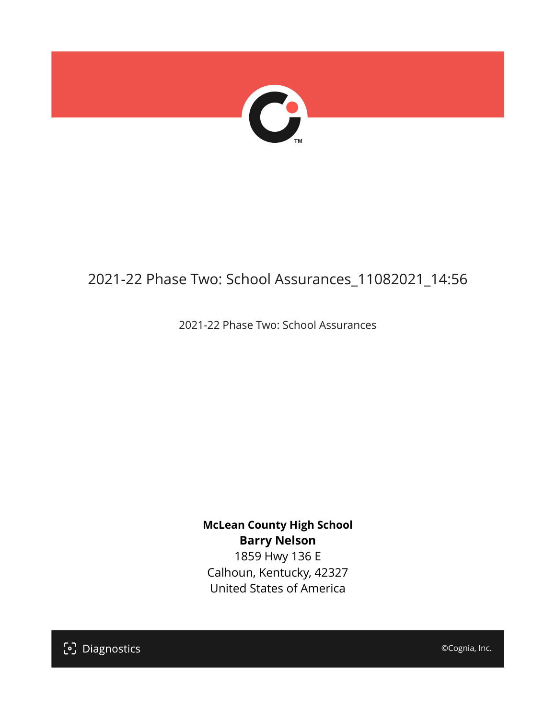

# 2021-22 Phase Two: School Assurances\_11082021\_14:56

2021-22 Phase Two: School Assurances

**McLean County High School Barry Nelson**

1859 Hwy 136 E Calhoun, Kentucky, 42327 United States of America

[၁] Diagnostics

©Cognia, Inc.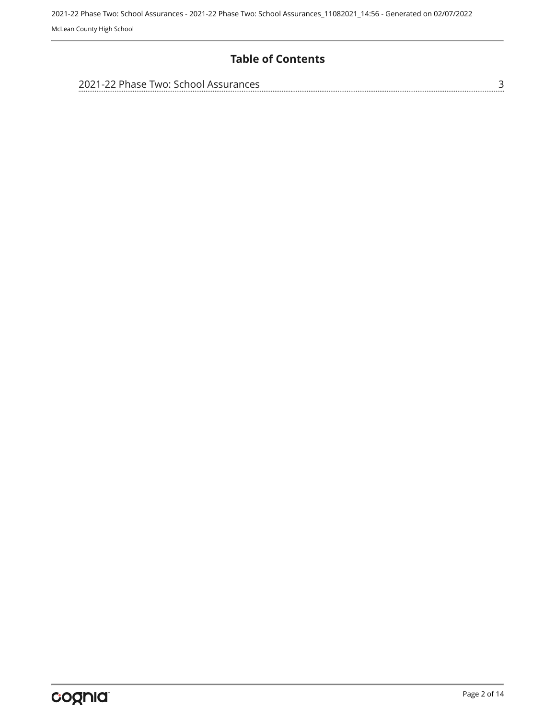### **Table of Contents**

| 2021-22 Phase Two: School Assurances |  |
|--------------------------------------|--|
|                                      |  |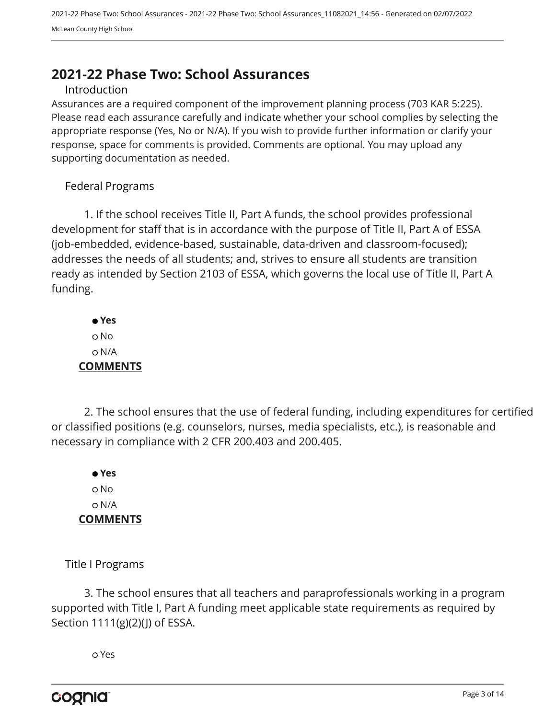# <span id="page-2-0"></span>**2021-22 Phase Two: School Assurances**

#### Introduction

Assurances are a required component of the improvement planning process (703 KAR 5:225). Please read each assurance carefully and indicate whether your school complies by selecting the appropriate response (Yes, No or N/A). If you wish to provide further information or clarify your response, space for comments is provided. Comments are optional. You may upload any supporting documentation as needed.

#### Federal Programs

1. If the school receives Title II, Part A funds, the school provides professional development for staff that is in accordance with the purpose of Title II, Part A of ESSA (job-embedded, evidence-based, sustainable, data-driven and classroom-focused); addresses the needs of all students; and, strives to ensure all students are transition ready as intended by Section 2103 of ESSA, which governs the local use of Title II, Part A funding.

 **Yes** o No N/A **COMMENTS**

2. The school ensures that the use of federal funding, including expenditures for certified or classified positions (e.g. counselors, nurses, media specialists, etc.), is reasonable and necessary in compliance with 2 CFR 200.403 and 200.405.

 **Yes** o No N/A **COMMENTS**

Title I Programs

3. The school ensures that all teachers and paraprofessionals working in a program supported with Title I, Part A funding meet applicable state requirements as required by Section 1111(g)(2)(J) of ESSA.

Yes

cognia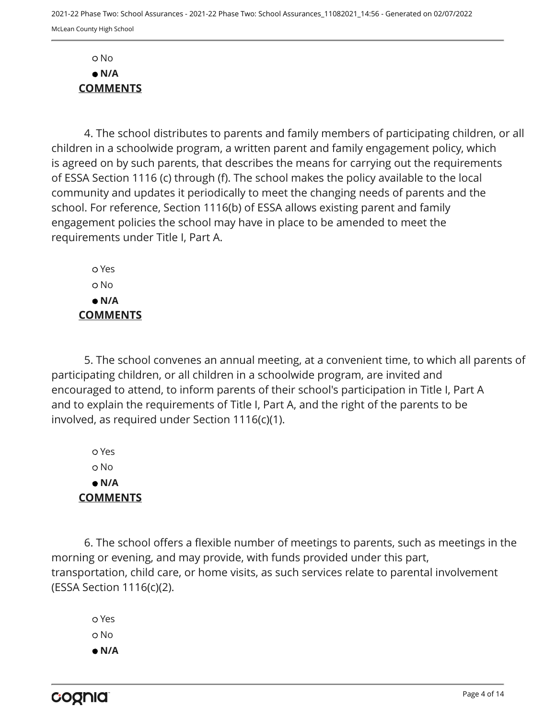No  **N/A COMMENTS**

4. The school distributes to parents and family members of participating children, or all children in a schoolwide program, a written parent and family engagement policy, which is agreed on by such parents, that describes the means for carrying out the requirements of ESSA Section 1116 (c) through (f). The school makes the policy available to the local community and updates it periodically to meet the changing needs of parents and the school. For reference, Section 1116(b) of ESSA allows existing parent and family engagement policies the school may have in place to be amended to meet the requirements under Title I, Part A.

 Yes No  **N/A COMMENTS**

5. The school convenes an annual meeting, at a convenient time, to which all parents of participating children, or all children in a schoolwide program, are invited and encouraged to attend, to inform parents of their school's participation in Title I, Part A and to explain the requirements of Title I, Part A, and the right of the parents to be involved, as required under Section 1116(c)(1).

 Yes o No  **N/A COMMENTS**

6. The school offers a flexible number of meetings to parents, such as meetings in the morning or evening, and may provide, with funds provided under this part, transportation, child care, or home visits, as such services relate to parental involvement (ESSA Section 1116(c)(2).

 Yes o No  **N/A**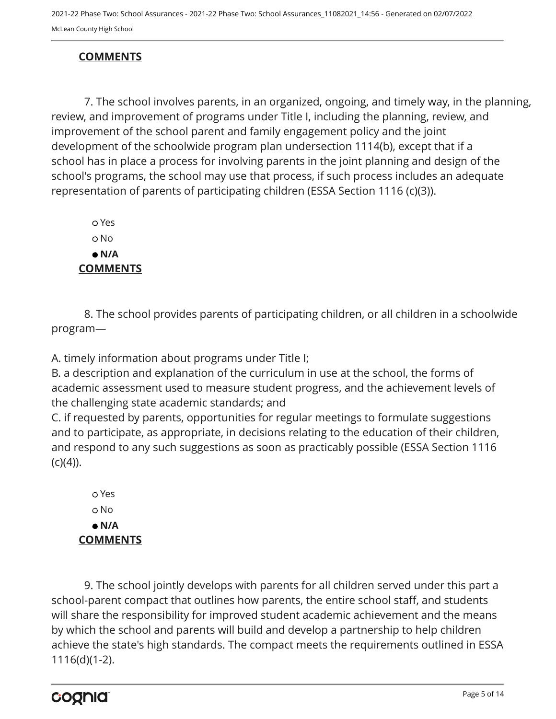## **COMMENTS**

7. The school involves parents, in an organized, ongoing, and timely way, in the planning, review, and improvement of programs under Title I, including the planning, review, and improvement of the school parent and family engagement policy and the joint development of the schoolwide program plan undersection 1114(b), except that if a school has in place a process for involving parents in the joint planning and design of the school's programs, the school may use that process, if such process includes an adequate representation of parents of participating children (ESSA Section 1116 (c)(3)).

 Yes o No  **N/A COMMENTS**

8. The school provides parents of participating children, or all children in a schoolwide program—

A. timely information about programs under Title I;

B. a description and explanation of the curriculum in use at the school, the forms of academic assessment used to measure student progress, and the achievement levels of the challenging state academic standards; and

C. if requested by parents, opportunities for regular meetings to formulate suggestions and to participate, as appropriate, in decisions relating to the education of their children, and respond to any such suggestions as soon as practicably possible (ESSA Section 1116  $(c)(4)$ ).

 Yes o No  **N/A COMMENTS**

9. The school jointly develops with parents for all children served under this part a school-parent compact that outlines how parents, the entire school staff, and students will share the responsibility for improved student academic achievement and the means by which the school and parents will build and develop a partnership to help children achieve the state's high standards. The compact meets the requirements outlined in ESSA 1116(d)(1-2).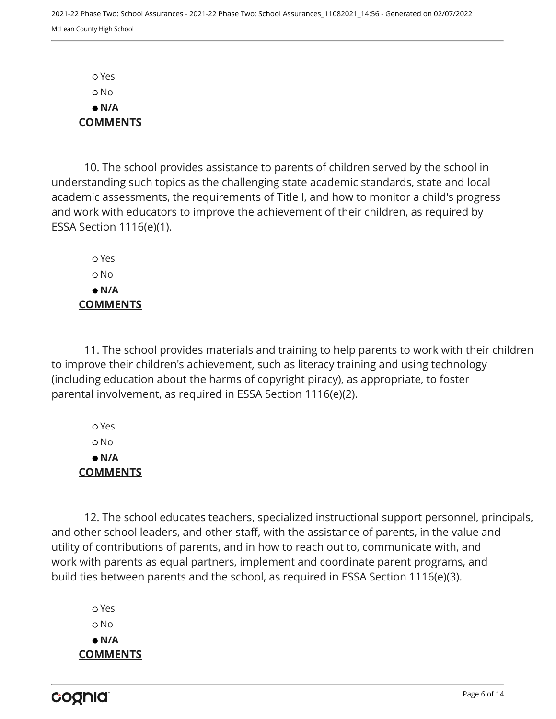Yes No  **N/A COMMENTS**

10. The school provides assistance to parents of children served by the school in understanding such topics as the challenging state academic standards, state and local academic assessments, the requirements of Title I, and how to monitor a child's progress and work with educators to improve the achievement of their children, as required by ESSA Section 1116(e)(1).

 Yes o No  **N/A COMMENTS**

11. The school provides materials and training to help parents to work with their children to improve their children's achievement, such as literacy training and using technology (including education about the harms of copyright piracy), as appropriate, to foster parental involvement, as required in ESSA Section 1116(e)(2).

 Yes No  **N/A COMMENTS**

12. The school educates teachers, specialized instructional support personnel, principals, and other school leaders, and other staff, with the assistance of parents, in the value and utility of contributions of parents, and in how to reach out to, communicate with, and work with parents as equal partners, implement and coordinate parent programs, and build ties between parents and the school, as required in ESSA Section 1116(e)(3).

 Yes o No  **N/A COMMENTS**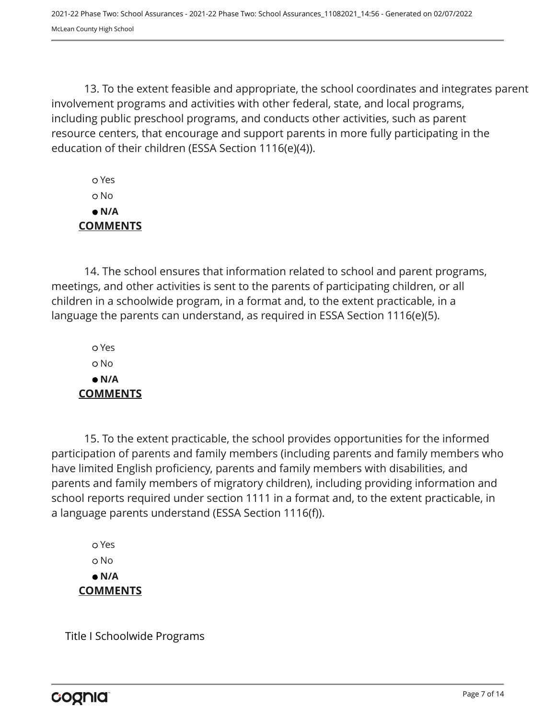2021-22 Phase Two: School Assurances - 2021-22 Phase Two: School Assurances\_11082021\_14:56 - Generated on 02/07/2022 McLean County High School

13. To the extent feasible and appropriate, the school coordinates and integrates parent involvement programs and activities with other federal, state, and local programs, including public preschool programs, and conducts other activities, such as parent resource centers, that encourage and support parents in more fully participating in the education of their children (ESSA Section 1116(e)(4)).

 Yes No  **N/A COMMENTS**

14. The school ensures that information related to school and parent programs, meetings, and other activities is sent to the parents of participating children, or all children in a schoolwide program, in a format and, to the extent practicable, in a language the parents can understand, as required in ESSA Section 1116(e)(5).

 Yes o No  **N/A COMMENTS**

15. To the extent practicable, the school provides opportunities for the informed participation of parents and family members (including parents and family members who have limited English proficiency, parents and family members with disabilities, and parents and family members of migratory children), including providing information and school reports required under section 1111 in a format and, to the extent practicable, in a language parents understand (ESSA Section 1116(f)).

 Yes o No  **N/A COMMENTS**

Title I Schoolwide Programs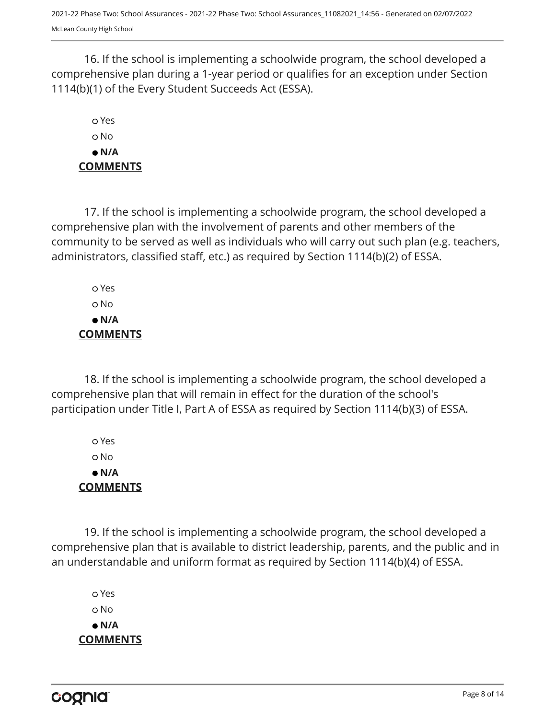16. If the school is implementing a schoolwide program, the school developed a comprehensive plan during a 1-year period or qualifies for an exception under Section 1114(b)(1) of the Every Student Succeeds Act (ESSA).

# Yes No  **N/A COMMENTS**

17. If the school is implementing a schoolwide program, the school developed a comprehensive plan with the involvement of parents and other members of the community to be served as well as individuals who will carry out such plan (e.g. teachers, administrators, classified staff, etc.) as required by Section 1114(b)(2) of ESSA.

 Yes No  **N/A COMMENTS**

18. If the school is implementing a schoolwide program, the school developed a comprehensive plan that will remain in effect for the duration of the school's participation under Title I, Part A of ESSA as required by Section 1114(b)(3) of ESSA.

 Yes No  **N/A COMMENTS**

19. If the school is implementing a schoolwide program, the school developed a comprehensive plan that is available to district leadership, parents, and the public and in an understandable and uniform format as required by Section 1114(b)(4) of ESSA.

 Yes o No  **N/A COMMENTS**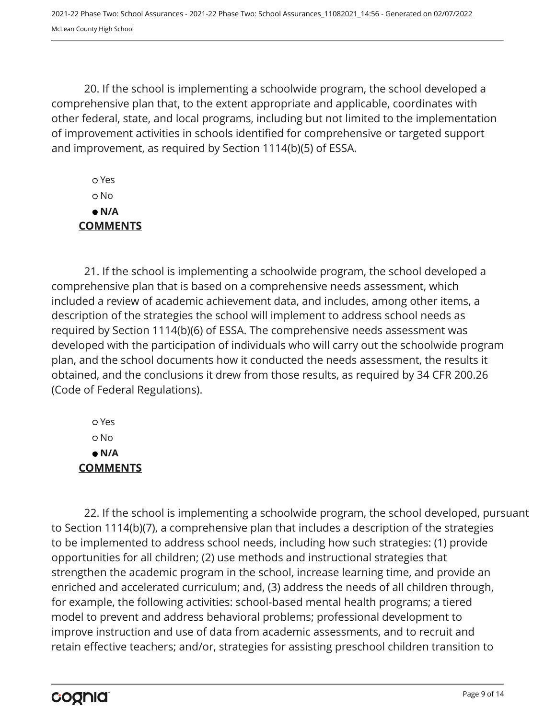2021-22 Phase Two: School Assurances - 2021-22 Phase Two: School Assurances\_11082021\_14:56 - Generated on 02/07/2022 McLean County High School

20. If the school is implementing a schoolwide program, the school developed a comprehensive plan that, to the extent appropriate and applicable, coordinates with other federal, state, and local programs, including but not limited to the implementation of improvement activities in schools identified for comprehensive or targeted support and improvement, as required by Section 1114(b)(5) of ESSA.

 Yes No  **N/A COMMENTS**

21. If the school is implementing a schoolwide program, the school developed a comprehensive plan that is based on a comprehensive needs assessment, which included a review of academic achievement data, and includes, among other items, a description of the strategies the school will implement to address school needs as required by Section 1114(b)(6) of ESSA. The comprehensive needs assessment was developed with the participation of individuals who will carry out the schoolwide program plan, and the school documents how it conducted the needs assessment, the results it obtained, and the conclusions it drew from those results, as required by 34 CFR 200.26 (Code of Federal Regulations).

 Yes No  **N/A COMMENTS**

22. If the school is implementing a schoolwide program, the school developed, pursuant to Section 1114(b)(7), a comprehensive plan that includes a description of the strategies to be implemented to address school needs, including how such strategies: (1) provide opportunities for all children; (2) use methods and instructional strategies that strengthen the academic program in the school, increase learning time, and provide an enriched and accelerated curriculum; and, (3) address the needs of all children through, for example, the following activities: school-based mental health programs; a tiered model to prevent and address behavioral problems; professional development to improve instruction and use of data from academic assessments, and to recruit and retain effective teachers; and/or, strategies for assisting preschool children transition to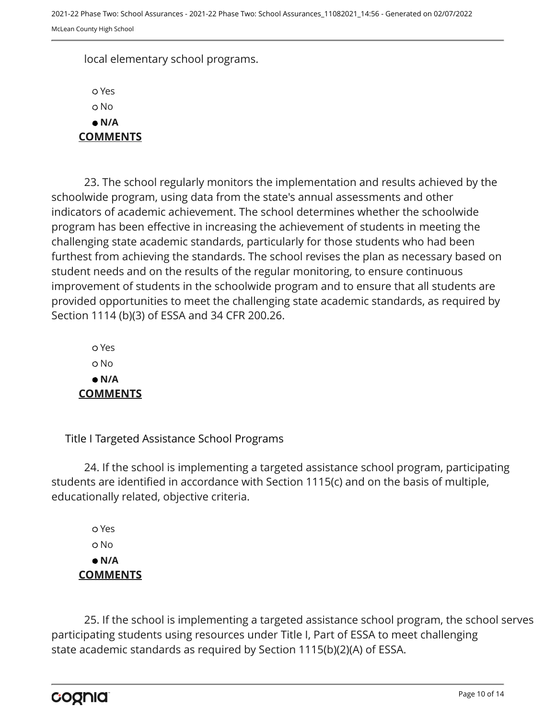local elementary school programs.

 Yes o No  **N/A COMMENTS**

23. The school regularly monitors the implementation and results achieved by the schoolwide program, using data from the state's annual assessments and other indicators of academic achievement. The school determines whether the schoolwide program has been effective in increasing the achievement of students in meeting the challenging state academic standards, particularly for those students who had been furthest from achieving the standards. The school revises the plan as necessary based on student needs and on the results of the regular monitoring, to ensure continuous improvement of students in the schoolwide program and to ensure that all students are provided opportunities to meet the challenging state academic standards, as required by Section 1114 (b)(3) of ESSA and 34 CFR 200.26.

 Yes o No  **N/A COMMENTS**

Title I Targeted Assistance School Programs

24. If the school is implementing a targeted assistance school program, participating students are identified in accordance with Section 1115(c) and on the basis of multiple, educationally related, objective criteria.

 Yes o No  **N/A COMMENTS**

25. If the school is implementing a targeted assistance school program, the school serves participating students using resources under Title I, Part of ESSA to meet challenging state academic standards as required by Section 1115(b)(2)(A) of ESSA.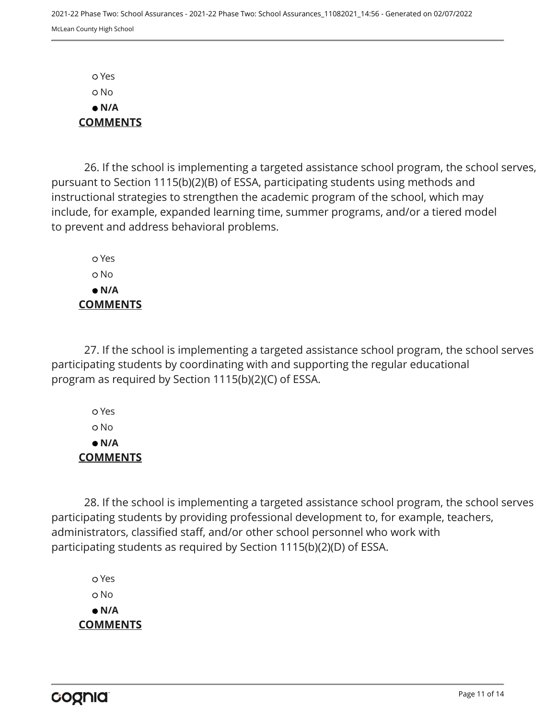Yes No  **N/A COMMENTS**

26. If the school is implementing a targeted assistance school program, the school serves, pursuant to Section 1115(b)(2)(B) of ESSA, participating students using methods and instructional strategies to strengthen the academic program of the school, which may include, for example, expanded learning time, summer programs, and/or a tiered model to prevent and address behavioral problems.

 Yes o No  **N/A COMMENTS**

27. If the school is implementing a targeted assistance school program, the school serves participating students by coordinating with and supporting the regular educational program as required by Section 1115(b)(2)(C) of ESSA.

 Yes No  **N/A COMMENTS**

28. If the school is implementing a targeted assistance school program, the school serves participating students by providing professional development to, for example, teachers, administrators, classified staff, and/or other school personnel who work with participating students as required by Section 1115(b)(2)(D) of ESSA.

 Yes o No  **N/A COMMENTS**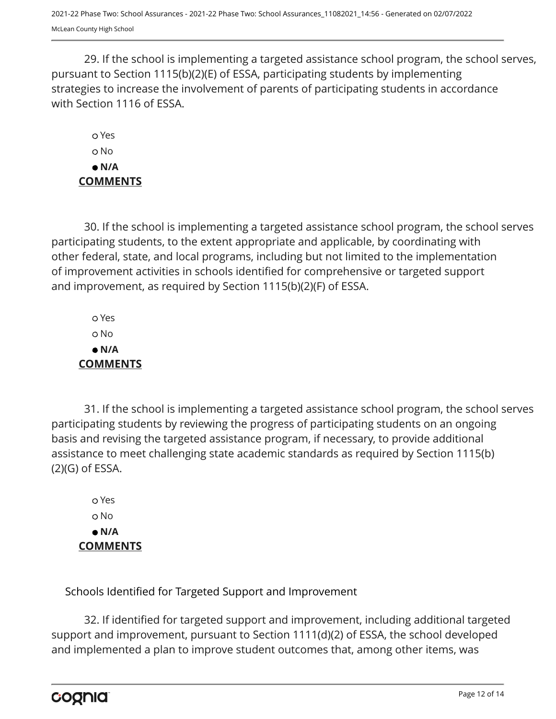29. If the school is implementing a targeted assistance school program, the school serves, pursuant to Section 1115(b)(2)(E) of ESSA, participating students by implementing strategies to increase the involvement of parents of participating students in accordance with Section 1116 of ESSA.

 Yes o No  **N/A COMMENTS**

30. If the school is implementing a targeted assistance school program, the school serves participating students, to the extent appropriate and applicable, by coordinating with other federal, state, and local programs, including but not limited to the implementation of improvement activities in schools identified for comprehensive or targeted support and improvement, as required by Section 1115(b)(2)(F) of ESSA.

 Yes No  **N/A COMMENTS**

31. If the school is implementing a targeted assistance school program, the school serves participating students by reviewing the progress of participating students on an ongoing basis and revising the targeted assistance program, if necessary, to provide additional assistance to meet challenging state academic standards as required by Section 1115(b) (2)(G) of ESSA.

 Yes o No  **N/A COMMENTS**

Schools Identified for Targeted Support and Improvement

32. If identified for targeted support and improvement, including additional targeted support and improvement, pursuant to Section 1111(d)(2) of ESSA, the school developed and implemented a plan to improve student outcomes that, among other items, was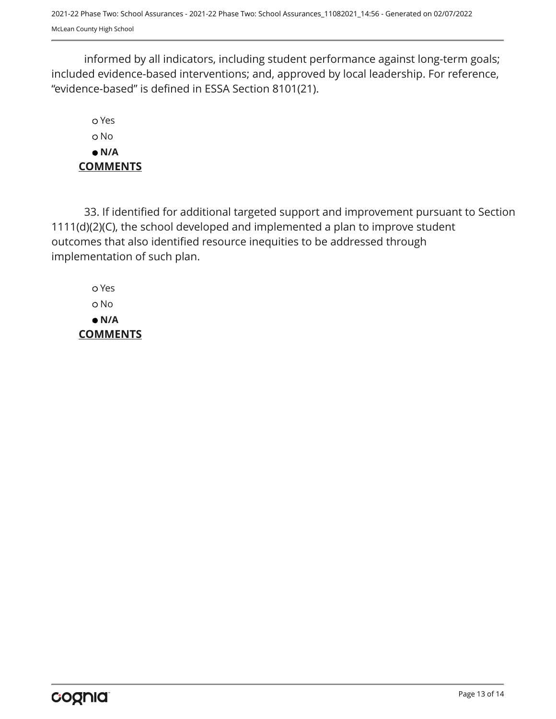2021-22 Phase Two: School Assurances - 2021-22 Phase Two: School Assurances\_11082021\_14:56 - Generated on 02/07/2022 McLean County High School

informed by all indicators, including student performance against long-term goals; included evidence-based interventions; and, approved by local leadership. For reference, "evidence-based" is defined in ESSA Section 8101(21).

 Yes o No  **N/A COMMENTS**

33. If identified for additional targeted support and improvement pursuant to Section 1111(d)(2)(C), the school developed and implemented a plan to improve student outcomes that also identified resource inequities to be addressed through implementation of such plan.

 Yes No  **N/A COMMENTS**